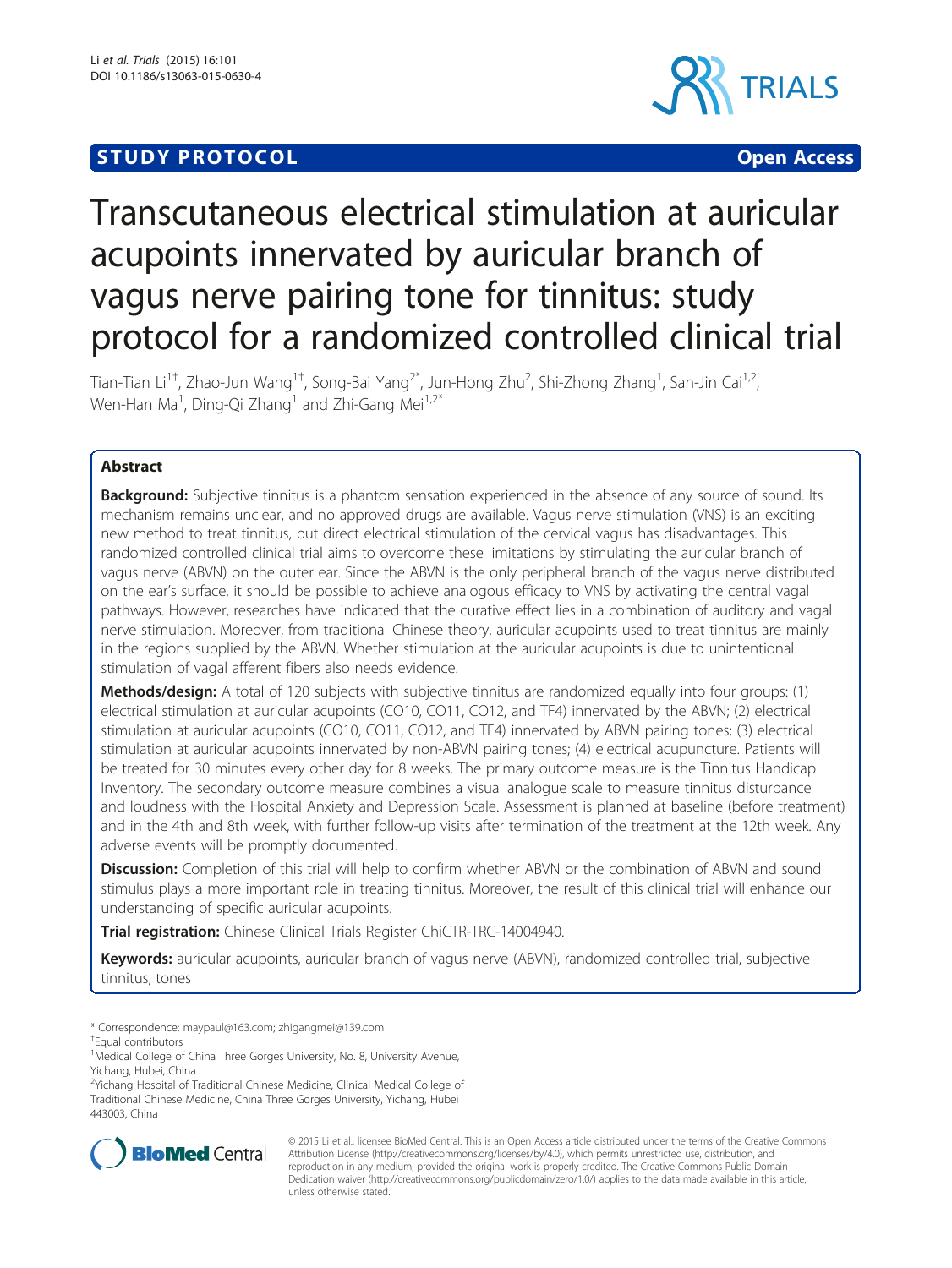# **STUDY PROTOCOL CONSUMING THE RESERVE ACCESS**



# Transcutaneous electrical stimulation at auricular acupoints innervated by auricular branch of vagus nerve pairing tone for tinnitus: study protocol for a randomized controlled clinical trial

Tian-Tian Li<sup>1†</sup>, Zhao-Jun Wang<sup>1†</sup>, Song-Bai Yang<sup>2\*</sup>, Jun-Hong Zhu<sup>2</sup>, Shi-Zhong Zhang<sup>1</sup>, San-Jin Cai<sup>1,2</sup>, Wen-Han Ma $^1$ , Ding-Qi Zhang $^1$  and Zhi-Gang Mei $^{1,2^\ast}$ 

# Abstract

Background: Subjective tinnitus is a phantom sensation experienced in the absence of any source of sound. Its mechanism remains unclear, and no approved drugs are available. Vagus nerve stimulation (VNS) is an exciting new method to treat tinnitus, but direct electrical stimulation of the cervical vagus has disadvantages. This randomized controlled clinical trial aims to overcome these limitations by stimulating the auricular branch of vagus nerve (ABVN) on the outer ear. Since the ABVN is the only peripheral branch of the vagus nerve distributed on the ear's surface, it should be possible to achieve analogous efficacy to VNS by activating the central vagal pathways. However, researches have indicated that the curative effect lies in a combination of auditory and vagal nerve stimulation. Moreover, from traditional Chinese theory, auricular acupoints used to treat tinnitus are mainly in the regions supplied by the ABVN. Whether stimulation at the auricular acupoints is due to unintentional stimulation of vagal afferent fibers also needs evidence.

Methods/design: A total of 120 subjects with subjective tinnitus are randomized equally into four groups: (1) electrical stimulation at auricular acupoints (CO10, CO11, CO12, and TF4) innervated by the ABVN; (2) electrical stimulation at auricular acupoints (CO10, CO11, CO12, and TF4) innervated by ABVN pairing tones; (3) electrical stimulation at auricular acupoints innervated by non-ABVN pairing tones; (4) electrical acupuncture. Patients will be treated for 30 minutes every other day for 8 weeks. The primary outcome measure is the Tinnitus Handicap Inventory. The secondary outcome measure combines a visual analogue scale to measure tinnitus disturbance and loudness with the Hospital Anxiety and Depression Scale. Assessment is planned at baseline (before treatment) and in the 4th and 8th week, with further follow-up visits after termination of the treatment at the 12th week. Any adverse events will be promptly documented.

**Discussion:** Completion of this trial will help to confirm whether ABVN or the combination of ABVN and sound stimulus plays a more important role in treating tinnitus. Moreover, the result of this clinical trial will enhance our understanding of specific auricular acupoints.

Trial registration: Chinese Clinical Trials Register ChiCTR-TRC-14004940.

Keywords: auricular acupoints, auricular branch of vagus nerve (ABVN), randomized controlled trial, subjective tinnitus, tones

<sup>&</sup>lt;sup>2</sup>Yichang Hospital of Traditional Chinese Medicine, Clinical Medical College of Traditional Chinese Medicine, China Three Gorges University, Yichang, Hubei 443003, China



© 2015 Li et al.; licensee BioMed Central. This is an Open Access article distributed under the terms of the Creative Commons Attribution License (<http://creativecommons.org/licenses/by/4.0>), which permits unrestricted use, distribution, and reproduction in any medium, provided the original work is properly credited. The Creative Commons Public Domain Dedication waiver [\(http://creativecommons.org/publicdomain/zero/1.0/](http://creativecommons.org/publicdomain/zero/1.0/)) applies to the data made available in this article, unless otherwise stated.

<sup>\*</sup> Correspondence: [maypaul@163.com;](mailto:maypaul@163.com) [zhigangmei@139.com](mailto:zhigangmei@139.com) †

Equal contributors

<sup>&</sup>lt;sup>1</sup>Medical College of China Three Gorges University, No. 8, University Avenue, Yichang, Hubei, China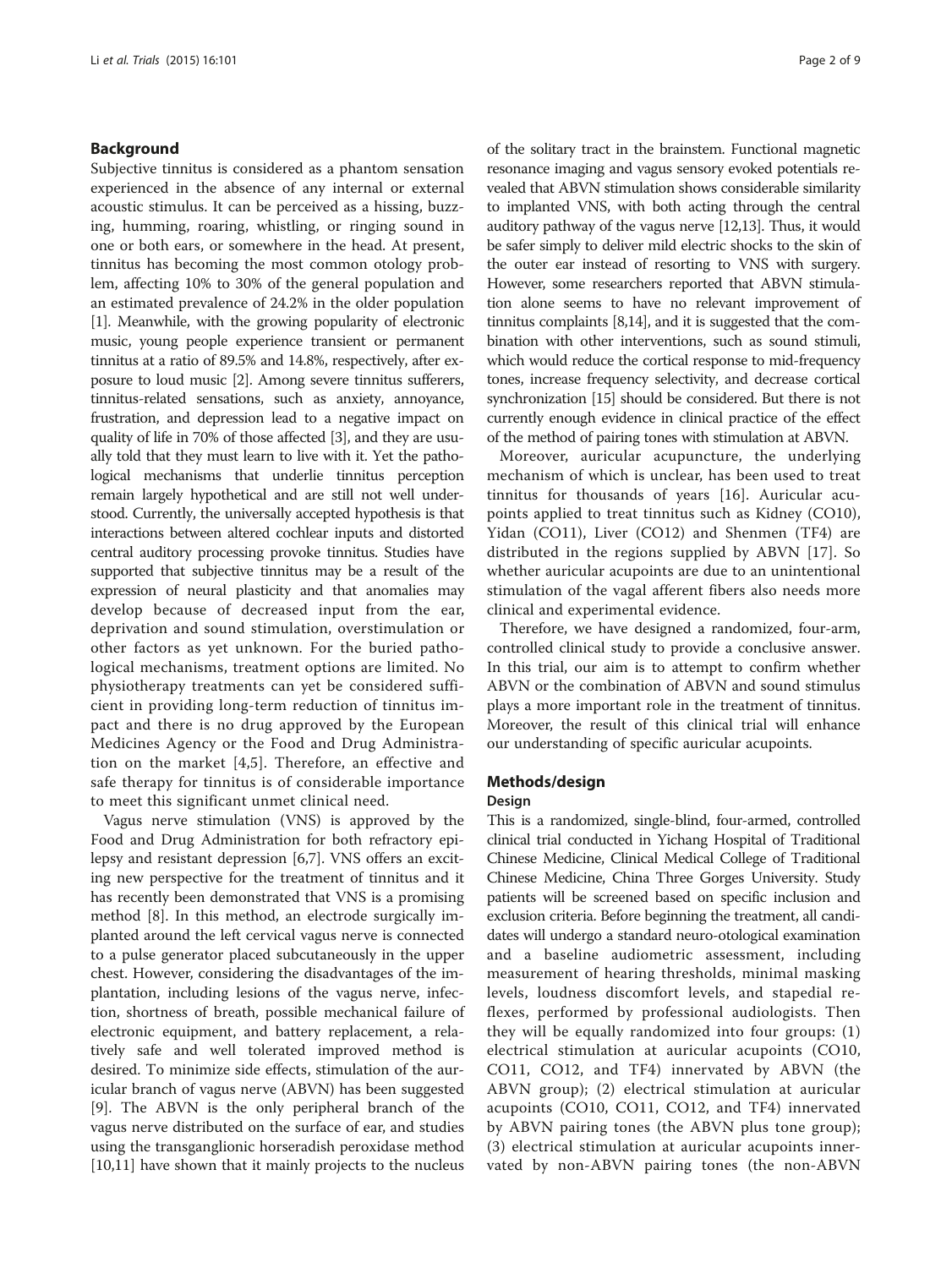## Background

Subjective tinnitus is considered as a phantom sensation experienced in the absence of any internal or external acoustic stimulus. It can be perceived as a hissing, buzzing, humming, roaring, whistling, or ringing sound in one or both ears, or somewhere in the head. At present, tinnitus has becoming the most common otology problem, affecting 10% to 30% of the general population and an estimated prevalence of 24.2% in the older population [[1](#page-7-0)]. Meanwhile, with the growing popularity of electronic music, young people experience transient or permanent tinnitus at a ratio of 89.5% and 14.8%, respectively, after exposure to loud music [\[2\]](#page-7-0). Among severe tinnitus sufferers, tinnitus-related sensations, such as anxiety, annoyance, frustration, and depression lead to a negative impact on quality of life in 70% of those affected [[3](#page-7-0)], and they are usually told that they must learn to live with it. Yet the pathological mechanisms that underlie tinnitus perception remain largely hypothetical and are still not well understood. Currently, the universally accepted hypothesis is that interactions between altered cochlear inputs and distorted central auditory processing provoke tinnitus. Studies have supported that subjective tinnitus may be a result of the expression of neural plasticity and that anomalies may develop because of decreased input from the ear, deprivation and sound stimulation, overstimulation or other factors as yet unknown. For the buried pathological mechanisms, treatment options are limited. No physiotherapy treatments can yet be considered sufficient in providing long-term reduction of tinnitus impact and there is no drug approved by the European Medicines Agency or the Food and Drug Administration on the market [[4](#page-7-0),[5\]](#page-7-0). Therefore, an effective and safe therapy for tinnitus is of considerable importance to meet this significant unmet clinical need.

Vagus nerve stimulation (VNS) is approved by the Food and Drug Administration for both refractory epilepsy and resistant depression [[6,7\]](#page-7-0). VNS offers an exciting new perspective for the treatment of tinnitus and it has recently been demonstrated that VNS is a promising method [\[8](#page-7-0)]. In this method, an electrode surgically implanted around the left cervical vagus nerve is connected to a pulse generator placed subcutaneously in the upper chest. However, considering the disadvantages of the implantation, including lesions of the vagus nerve, infection, shortness of breath, possible mechanical failure of electronic equipment, and battery replacement, a relatively safe and well tolerated improved method is desired. To minimize side effects, stimulation of the auricular branch of vagus nerve (ABVN) has been suggested [[9\]](#page-7-0). The ABVN is the only peripheral branch of the vagus nerve distributed on the surface of ear, and studies using the transganglionic horseradish peroxidase method [[10,11\]](#page-7-0) have shown that it mainly projects to the nucleus

of the solitary tract in the brainstem. Functional magnetic resonance imaging and vagus sensory evoked potentials revealed that ABVN stimulation shows considerable similarity to implanted VNS, with both acting through the central auditory pathway of the vagus nerve [[12,13](#page-7-0)]. Thus, it would be safer simply to deliver mild electric shocks to the skin of the outer ear instead of resorting to VNS with surgery. However, some researchers reported that ABVN stimulation alone seems to have no relevant improvement of tinnitus complaints [\[8,14](#page-7-0)], and it is suggested that the combination with other interventions, such as sound stimuli, which would reduce the cortical response to mid-frequency tones, increase frequency selectivity, and decrease cortical synchronization [\[15](#page-7-0)] should be considered. But there is not currently enough evidence in clinical practice of the effect of the method of pairing tones with stimulation at ABVN.

Moreover, auricular acupuncture, the underlying mechanism of which is unclear, has been used to treat tinnitus for thousands of years [\[16\]](#page-7-0). Auricular acupoints applied to treat tinnitus such as Kidney (CO10), Yidan (CO11), Liver (CO12) and Shenmen (TF4) are distributed in the regions supplied by ABVN [\[17](#page-7-0)]. So whether auricular acupoints are due to an unintentional stimulation of the vagal afferent fibers also needs more clinical and experimental evidence.

Therefore, we have designed a randomized, four-arm, controlled clinical study to provide a conclusive answer. In this trial, our aim is to attempt to confirm whether ABVN or the combination of ABVN and sound stimulus plays a more important role in the treatment of tinnitus. Moreover, the result of this clinical trial will enhance our understanding of specific auricular acupoints.

# Methods/design

### **Design**

This is a randomized, single-blind, four-armed, controlled clinical trial conducted in Yichang Hospital of Traditional Chinese Medicine, Clinical Medical College of Traditional Chinese Medicine, China Three Gorges University. Study patients will be screened based on specific inclusion and exclusion criteria. Before beginning the treatment, all candidates will undergo a standard neuro-otological examination and a baseline audiometric assessment, including measurement of hearing thresholds, minimal masking levels, loudness discomfort levels, and stapedial reflexes, performed by professional audiologists. Then they will be equally randomized into four groups: (1) electrical stimulation at auricular acupoints (CO10, CO11, CO12, and TF4) innervated by ABVN (the ABVN group); (2) electrical stimulation at auricular acupoints (CO10, CO11, CO12, and TF4) innervated by ABVN pairing tones (the ABVN plus tone group); (3) electrical stimulation at auricular acupoints innervated by non-ABVN pairing tones (the non-ABVN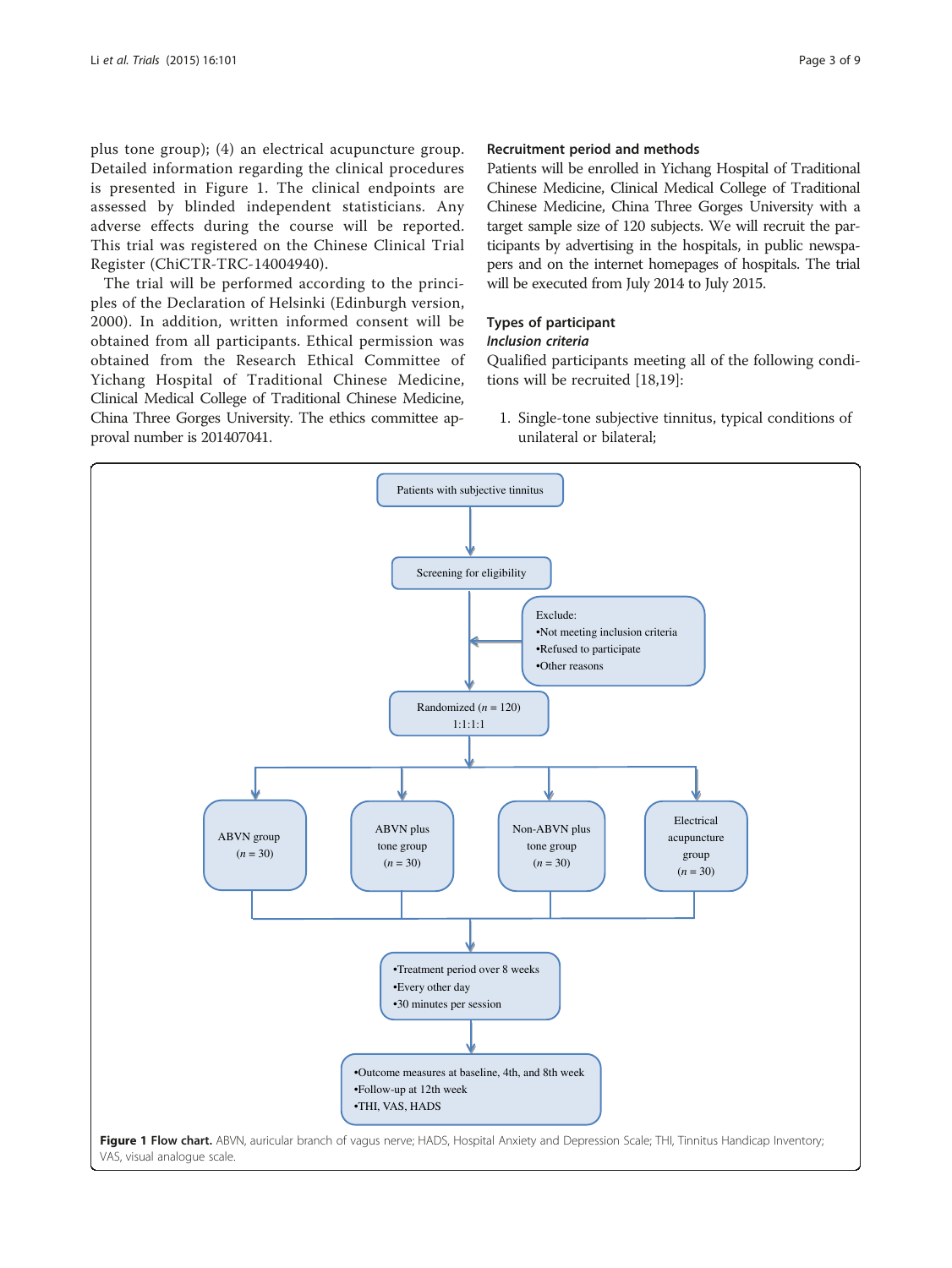plus tone group); (4) an electrical acupuncture group. Detailed information regarding the clinical procedures is presented in Figure 1. The clinical endpoints are assessed by blinded independent statisticians. Any adverse effects during the course will be reported. This trial was registered on the Chinese Clinical Trial Register (ChiCTR-TRC-14004940).

The trial will be performed according to the principles of the Declaration of Helsinki (Edinburgh version, 2000). In addition, written informed consent will be obtained from all participants. Ethical permission was obtained from the Research Ethical Committee of Yichang Hospital of Traditional Chinese Medicine, Clinical Medical College of Traditional Chinese Medicine, China Three Gorges University. The ethics committee approval number is 201407041.

#### Recruitment period and methods

Patients will be enrolled in Yichang Hospital of Traditional Chinese Medicine, Clinical Medical College of Traditional Chinese Medicine, China Three Gorges University with a target sample size of 120 subjects. We will recruit the participants by advertising in the hospitals, in public newspapers and on the internet homepages of hospitals. The trial will be executed from July 2014 to July 2015.

# Types of participant

# Inclusion criteria

Qualified participants meeting all of the following conditions will be recruited [[18](#page-7-0),[19](#page-7-0)]:

1. Single-tone subjective tinnitus, typical conditions of unilateral or bilateral;

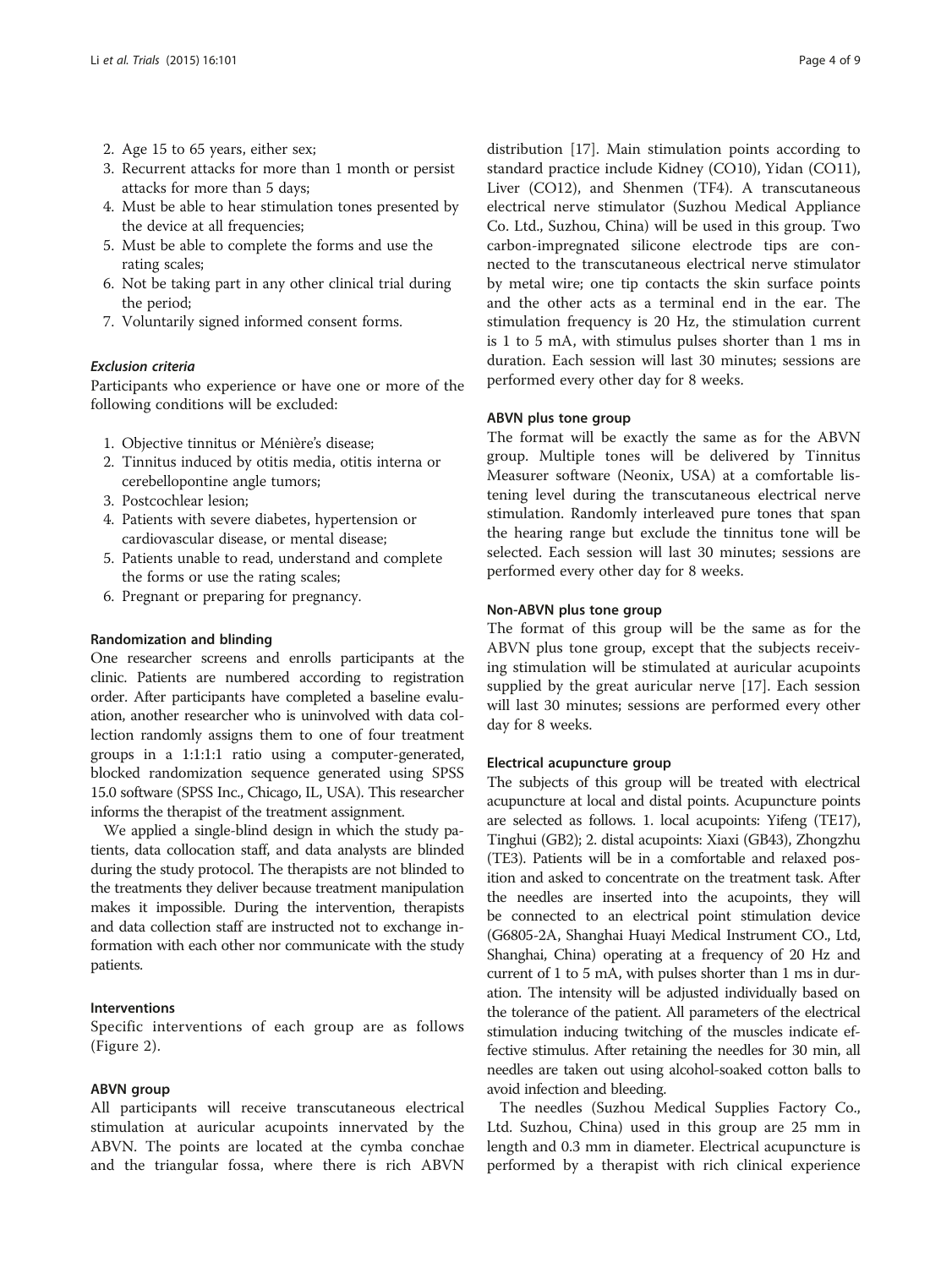- 2. Age 15 to 65 years, either sex;
- 3. Recurrent attacks for more than 1 month or persist attacks for more than 5 days;
- 4. Must be able to hear stimulation tones presented by the device at all frequencies;
- 5. Must be able to complete the forms and use the rating scales;
- 6. Not be taking part in any other clinical trial during the period;
- 7. Voluntarily signed informed consent forms.

#### Exclusion criteria

Participants who experience or have one or more of the following conditions will be excluded:

- 1. Objective tinnitus or Ménière's disease;
- 2. Tinnitus induced by otitis media, otitis interna or cerebellopontine angle tumors;
- 3. Postcochlear lesion;
- 4. Patients with severe diabetes, hypertension or cardiovascular disease, or mental disease;
- 5. Patients unable to read, understand and complete the forms or use the rating scales;
- 6. Pregnant or preparing for pregnancy.

# Randomization and blinding

One researcher screens and enrolls participants at the clinic. Patients are numbered according to registration order. After participants have completed a baseline evaluation, another researcher who is uninvolved with data collection randomly assigns them to one of four treatment groups in a 1:1:1:1 ratio using a computer-generated, blocked randomization sequence generated using SPSS 15.0 software (SPSS Inc., Chicago, IL, USA). This researcher informs the therapist of the treatment assignment.

We applied a single-blind design in which the study patients, data collocation staff, and data analysts are blinded during the study protocol. The therapists are not blinded to the treatments they deliver because treatment manipulation makes it impossible. During the intervention, therapists and data collection staff are instructed not to exchange information with each other nor communicate with the study patients.

# Interventions

Specific interventions of each group are as follows (Figure [2\)](#page-4-0).

#### ABVN group

All participants will receive transcutaneous electrical stimulation at auricular acupoints innervated by the ABVN. The points are located at the cymba conchae and the triangular fossa, where there is rich ABVN distribution [[17\]](#page-7-0). Main stimulation points according to standard practice include Kidney (CO10), Yidan (CO11), Liver (CO12), and Shenmen (TF4). A transcutaneous electrical nerve stimulator (Suzhou Medical Appliance Co. Ltd., Suzhou, China) will be used in this group. Two carbon-impregnated silicone electrode tips are connected to the transcutaneous electrical nerve stimulator by metal wire; one tip contacts the skin surface points and the other acts as a terminal end in the ear. The stimulation frequency is 20 Hz, the stimulation current is 1 to 5 mA, with stimulus pulses shorter than 1 ms in duration. Each session will last 30 minutes; sessions are performed every other day for 8 weeks.

#### ABVN plus tone group

The format will be exactly the same as for the ABVN group. Multiple tones will be delivered by Tinnitus Measurer software (Neonix, USA) at a comfortable listening level during the transcutaneous electrical nerve stimulation. Randomly interleaved pure tones that span the hearing range but exclude the tinnitus tone will be selected. Each session will last 30 minutes; sessions are performed every other day for 8 weeks.

# Non-ABVN plus tone group

The format of this group will be the same as for the ABVN plus tone group, except that the subjects receiving stimulation will be stimulated at auricular acupoints supplied by the great auricular nerve [\[17\]](#page-7-0). Each session will last 30 minutes; sessions are performed every other day for 8 weeks.

#### Electrical acupuncture group

The subjects of this group will be treated with electrical acupuncture at local and distal points. Acupuncture points are selected as follows. 1. local acupoints: Yifeng (TE17), Tinghui (GB2); 2. distal acupoints: Xiaxi (GB43), Zhongzhu (TE3). Patients will be in a comfortable and relaxed position and asked to concentrate on the treatment task. After the needles are inserted into the acupoints, they will be connected to an electrical point stimulation device (G6805-2A, Shanghai Huayi Medical Instrument CO., Ltd, Shanghai, China) operating at a frequency of 20 Hz and current of 1 to 5 mA, with pulses shorter than 1 ms in duration. The intensity will be adjusted individually based on the tolerance of the patient. All parameters of the electrical stimulation inducing twitching of the muscles indicate effective stimulus. After retaining the needles for 30 min, all needles are taken out using alcohol-soaked cotton balls to avoid infection and bleeding.

The needles (Suzhou Medical Supplies Factory Co., Ltd. Suzhou, China) used in this group are 25 mm in length and 0.3 mm in diameter. Electrical acupuncture is performed by a therapist with rich clinical experience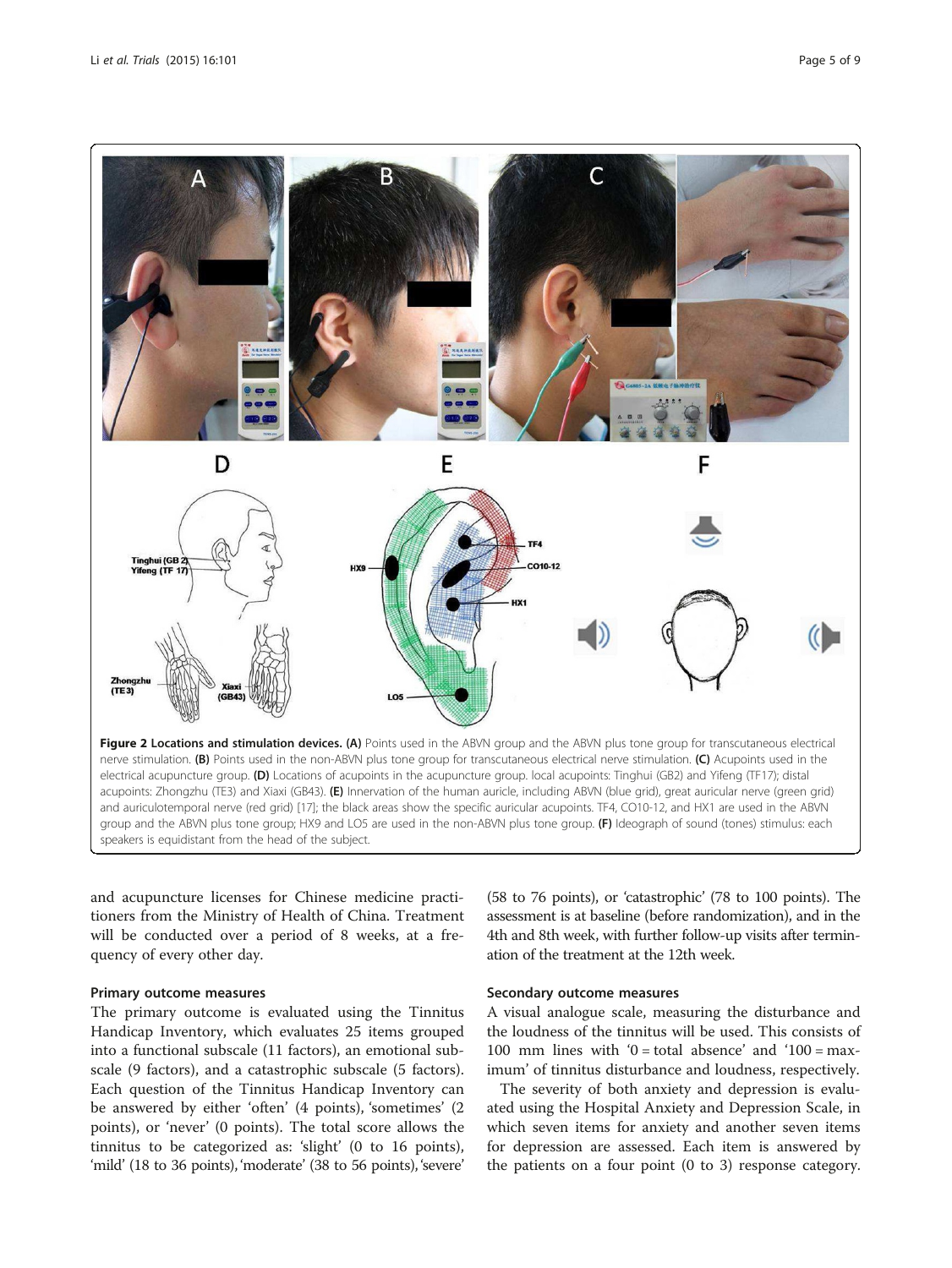<span id="page-4-0"></span>

and acupuncture licenses for Chinese medicine practitioners from the Ministry of Health of China. Treatment will be conducted over a period of 8 weeks, at a frequency of every other day.

#### Primary outcome measures

The primary outcome is evaluated using the Tinnitus Handicap Inventory, which evaluates 25 items grouped into a functional subscale (11 factors), an emotional subscale (9 factors), and a catastrophic subscale (5 factors). Each question of the Tinnitus Handicap Inventory can be answered by either 'often' (4 points), 'sometimes' (2 points), or 'never' (0 points). The total score allows the tinnitus to be categorized as: 'slight' (0 to 16 points), 'mild' (18 to 36 points), 'moderate' (38 to 56 points), 'severe' (58 to 76 points), or 'catastrophic' (78 to 100 points). The assessment is at baseline (before randomization), and in the 4th and 8th week, with further follow-up visits after termination of the treatment at the 12th week.

#### Secondary outcome measures

A visual analogue scale, measuring the disturbance and the loudness of the tinnitus will be used. This consists of 100 mm lines with '0 = total absence' and '100 = maximum' of tinnitus disturbance and loudness, respectively.

The severity of both anxiety and depression is evaluated using the Hospital Anxiety and Depression Scale, in which seven items for anxiety and another seven items for depression are assessed. Each item is answered by the patients on a four point (0 to 3) response category.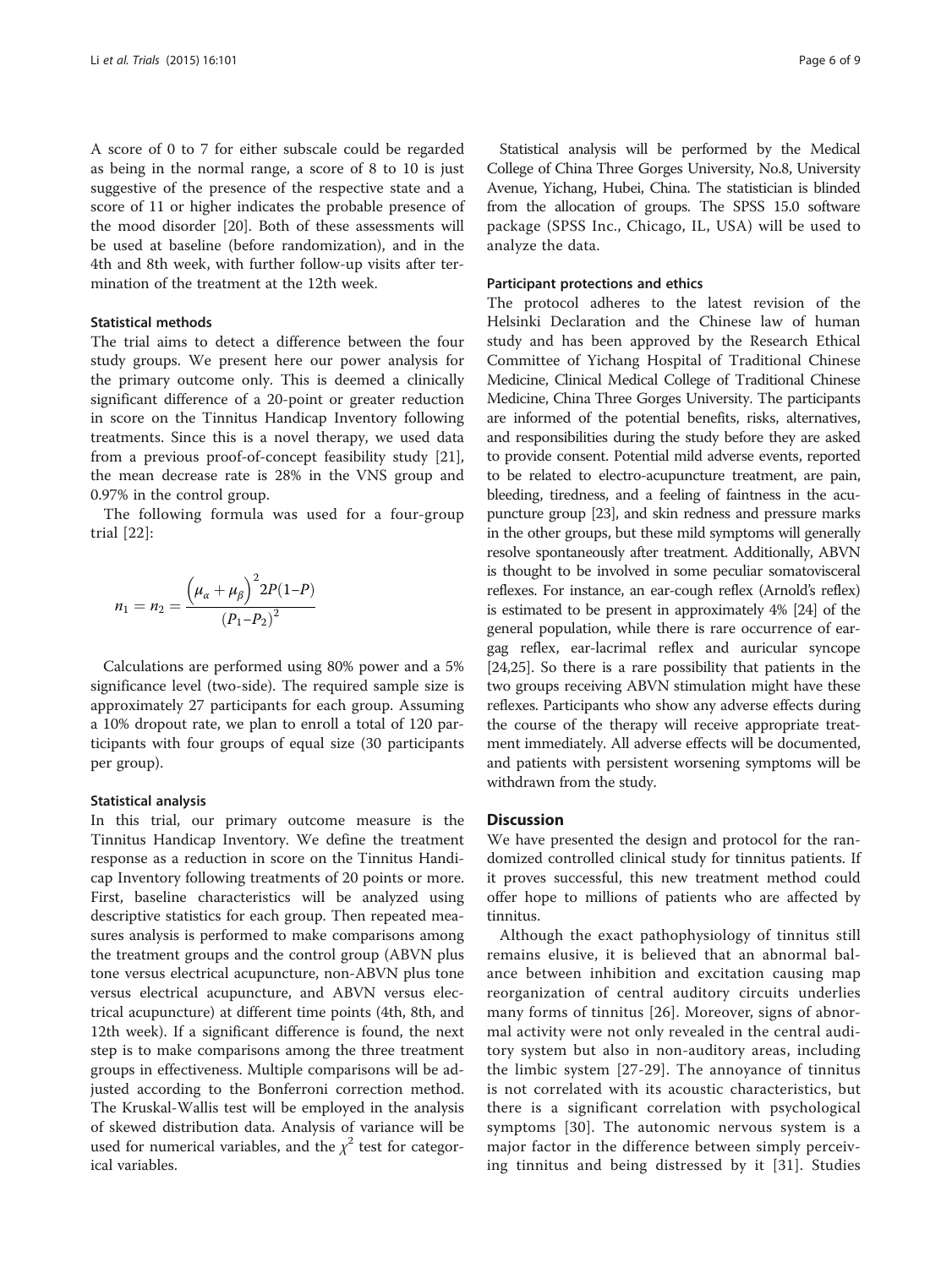A score of 0 to 7 for either subscale could be regarded as being in the normal range, a score of 8 to 10 is just suggestive of the presence of the respective state and a score of 11 or higher indicates the probable presence of the mood disorder [[20](#page-7-0)]. Both of these assessments will be used at baseline (before randomization), and in the 4th and 8th week, with further follow-up visits after termination of the treatment at the 12th week.

# Statistical methods

The trial aims to detect a difference between the four study groups. We present here our power analysis for the primary outcome only. This is deemed a clinically significant difference of a 20-point or greater reduction in score on the Tinnitus Handicap Inventory following treatments. Since this is a novel therapy, we used data from a previous proof-of-concept feasibility study [\[21](#page-7-0)], the mean decrease rate is 28% in the VNS group and 0.97% in the control group.

The following formula was used for a four-group trial [\[22](#page-7-0)]:

$$
n_1 = n_2 = \frac{\left(\mu_\alpha + \mu_\beta\right)^2 2P(1-P)}{\left(P_1 - P_2\right)^2}
$$

Calculations are performed using 80% power and a 5% significance level (two-side). The required sample size is approximately 27 participants for each group. Assuming a 10% dropout rate, we plan to enroll a total of 120 participants with four groups of equal size (30 participants per group).

#### Statistical analysis

In this trial, our primary outcome measure is the Tinnitus Handicap Inventory. We define the treatment response as a reduction in score on the Tinnitus Handicap Inventory following treatments of 20 points or more. First, baseline characteristics will be analyzed using descriptive statistics for each group. Then repeated measures analysis is performed to make comparisons among the treatment groups and the control group (ABVN plus tone versus electrical acupuncture, non-ABVN plus tone versus electrical acupuncture, and ABVN versus electrical acupuncture) at different time points (4th, 8th, and 12th week). If a significant difference is found, the next step is to make comparisons among the three treatment groups in effectiveness. Multiple comparisons will be adjusted according to the Bonferroni correction method. The Kruskal-Wallis test will be employed in the analysis of skewed distribution data. Analysis of variance will be used for numerical variables, and the  $\chi^2$  test for categorical variables.

Statistical analysis will be performed by the Medical College of China Three Gorges University, No.8, University Avenue, Yichang, Hubei, China. The statistician is blinded from the allocation of groups. The SPSS 15.0 software package (SPSS Inc., Chicago, IL, USA) will be used to analyze the data.

#### Participant protections and ethics

The protocol adheres to the latest revision of the Helsinki Declaration and the Chinese law of human study and has been approved by the Research Ethical Committee of Yichang Hospital of Traditional Chinese Medicine, Clinical Medical College of Traditional Chinese Medicine, China Three Gorges University. The participants are informed of the potential benefits, risks, alternatives, and responsibilities during the study before they are asked to provide consent. Potential mild adverse events, reported to be related to electro-acupuncture treatment, are pain, bleeding, tiredness, and a feeling of faintness in the acupuncture group [\[23](#page-7-0)], and skin redness and pressure marks in the other groups, but these mild symptoms will generally resolve spontaneously after treatment. Additionally, ABVN is thought to be involved in some peculiar somatovisceral reflexes. For instance, an ear-cough reflex (Arnold's reflex) is estimated to be present in approximately 4% [\[24\]](#page-7-0) of the general population, while there is rare occurrence of eargag reflex, ear-lacrimal reflex and auricular syncope [[24](#page-7-0),[25](#page-7-0)]. So there is a rare possibility that patients in the two groups receiving ABVN stimulation might have these reflexes. Participants who show any adverse effects during the course of the therapy will receive appropriate treatment immediately. All adverse effects will be documented, and patients with persistent worsening symptoms will be withdrawn from the study.

#### **Discussion**

We have presented the design and protocol for the randomized controlled clinical study for tinnitus patients. If it proves successful, this new treatment method could offer hope to millions of patients who are affected by tinnitus.

Although the exact pathophysiology of tinnitus still remains elusive, it is believed that an abnormal balance between inhibition and excitation causing map reorganization of central auditory circuits underlies many forms of tinnitus [\[26\]](#page-7-0). Moreover, signs of abnormal activity were not only revealed in the central auditory system but also in non-auditory areas, including the limbic system [\[27-29](#page-7-0)]. The annoyance of tinnitus is not correlated with its acoustic characteristics, but there is a significant correlation with psychological symptoms [\[30\]](#page-7-0). The autonomic nervous system is a major factor in the difference between simply perceiving tinnitus and being distressed by it [[31](#page-7-0)]. Studies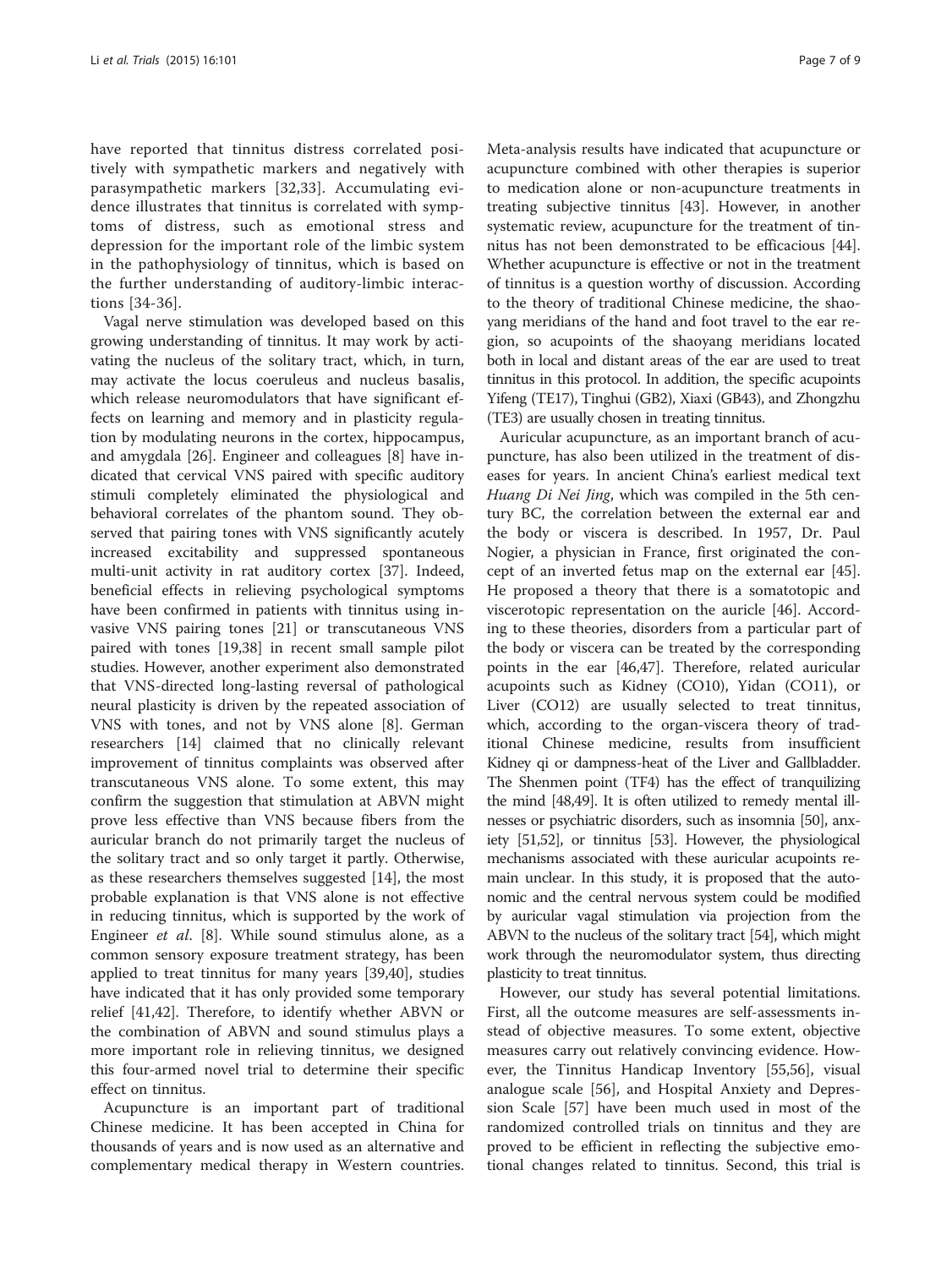have reported that tinnitus distress correlated positively with sympathetic markers and negatively with parasympathetic markers [\[32,](#page-7-0)[33](#page-8-0)]. Accumulating evidence illustrates that tinnitus is correlated with symptoms of distress, such as emotional stress and depression for the important role of the limbic system in the pathophysiology of tinnitus, which is based on the further understanding of auditory-limbic interactions [[34](#page-8-0)-[36](#page-8-0)].

Vagal nerve stimulation was developed based on this growing understanding of tinnitus. It may work by activating the nucleus of the solitary tract, which, in turn, may activate the locus coeruleus and nucleus basalis, which release neuromodulators that have significant effects on learning and memory and in plasticity regulation by modulating neurons in the cortex, hippocampus, and amygdala [\[26\]](#page-7-0). Engineer and colleagues [\[8](#page-7-0)] have indicated that cervical VNS paired with specific auditory stimuli completely eliminated the physiological and behavioral correlates of the phantom sound. They observed that pairing tones with VNS significantly acutely increased excitability and suppressed spontaneous multi-unit activity in rat auditory cortex [\[37\]](#page-8-0). Indeed, beneficial effects in relieving psychological symptoms have been confirmed in patients with tinnitus using invasive VNS pairing tones [\[21\]](#page-7-0) or transcutaneous VNS paired with tones [\[19](#page-7-0)[,38](#page-8-0)] in recent small sample pilot studies. However, another experiment also demonstrated that VNS-directed long-lasting reversal of pathological neural plasticity is driven by the repeated association of VNS with tones, and not by VNS alone [[8\]](#page-7-0). German researchers [\[14](#page-7-0)] claimed that no clinically relevant improvement of tinnitus complaints was observed after transcutaneous VNS alone. To some extent, this may confirm the suggestion that stimulation at ABVN might prove less effective than VNS because fibers from the auricular branch do not primarily target the nucleus of the solitary tract and so only target it partly. Otherwise, as these researchers themselves suggested [[14](#page-7-0)], the most probable explanation is that VNS alone is not effective in reducing tinnitus, which is supported by the work of Engineer et al. [[8\]](#page-7-0). While sound stimulus alone, as a common sensory exposure treatment strategy, has been applied to treat tinnitus for many years [\[39,40\]](#page-8-0), studies have indicated that it has only provided some temporary relief [\[41,42\]](#page-8-0). Therefore, to identify whether ABVN or the combination of ABVN and sound stimulus plays a more important role in relieving tinnitus, we designed this four-armed novel trial to determine their specific effect on tinnitus.

Acupuncture is an important part of traditional Chinese medicine. It has been accepted in China for thousands of years and is now used as an alternative and complementary medical therapy in Western countries.

Meta-analysis results have indicated that acupuncture or acupuncture combined with other therapies is superior to medication alone or non-acupuncture treatments in treating subjective tinnitus [\[43](#page-8-0)]. However, in another systematic review, acupuncture for the treatment of tinnitus has not been demonstrated to be efficacious [\[44](#page-8-0)]. Whether acupuncture is effective or not in the treatment of tinnitus is a question worthy of discussion. According to the theory of traditional Chinese medicine, the shaoyang meridians of the hand and foot travel to the ear region, so acupoints of the shaoyang meridians located both in local and distant areas of the ear are used to treat tinnitus in this protocol. In addition, the specific acupoints Yifeng (TE17), Tinghui (GB2), Xiaxi (GB43), and Zhongzhu (TE3) are usually chosen in treating tinnitus.

Auricular acupuncture, as an important branch of acupuncture, has also been utilized in the treatment of diseases for years. In ancient China's earliest medical text Huang Di Nei Jing, which was compiled in the 5th century BC, the correlation between the external ear and the body or viscera is described. In 1957, Dr. Paul Nogier, a physician in France, first originated the concept of an inverted fetus map on the external ear [\[45](#page-8-0)]. He proposed a theory that there is a somatotopic and viscerotopic representation on the auricle [\[46\]](#page-8-0). According to these theories, disorders from a particular part of the body or viscera can be treated by the corresponding points in the ear [[46,47](#page-8-0)]. Therefore, related auricular acupoints such as Kidney (CO10), Yidan (CO11), or Liver (CO12) are usually selected to treat tinnitus, which, according to the organ-viscera theory of traditional Chinese medicine, results from insufficient Kidney qi or dampness-heat of the Liver and Gallbladder. The Shenmen point (TF4) has the effect of tranquilizing the mind [\[48,49\]](#page-8-0). It is often utilized to remedy mental illnesses or psychiatric disorders, such as insomnia [\[50](#page-8-0)], anxiety [[51,52\]](#page-8-0), or tinnitus [\[53\]](#page-8-0). However, the physiological mechanisms associated with these auricular acupoints remain unclear. In this study, it is proposed that the autonomic and the central nervous system could be modified by auricular vagal stimulation via projection from the ABVN to the nucleus of the solitary tract [\[54](#page-8-0)], which might work through the neuromodulator system, thus directing plasticity to treat tinnitus.

However, our study has several potential limitations. First, all the outcome measures are self-assessments instead of objective measures. To some extent, objective measures carry out relatively convincing evidence. However, the Tinnitus Handicap Inventory [\[55,56](#page-8-0)], visual analogue scale [[56\]](#page-8-0), and Hospital Anxiety and Depression Scale [[57\]](#page-8-0) have been much used in most of the randomized controlled trials on tinnitus and they are proved to be efficient in reflecting the subjective emotional changes related to tinnitus. Second, this trial is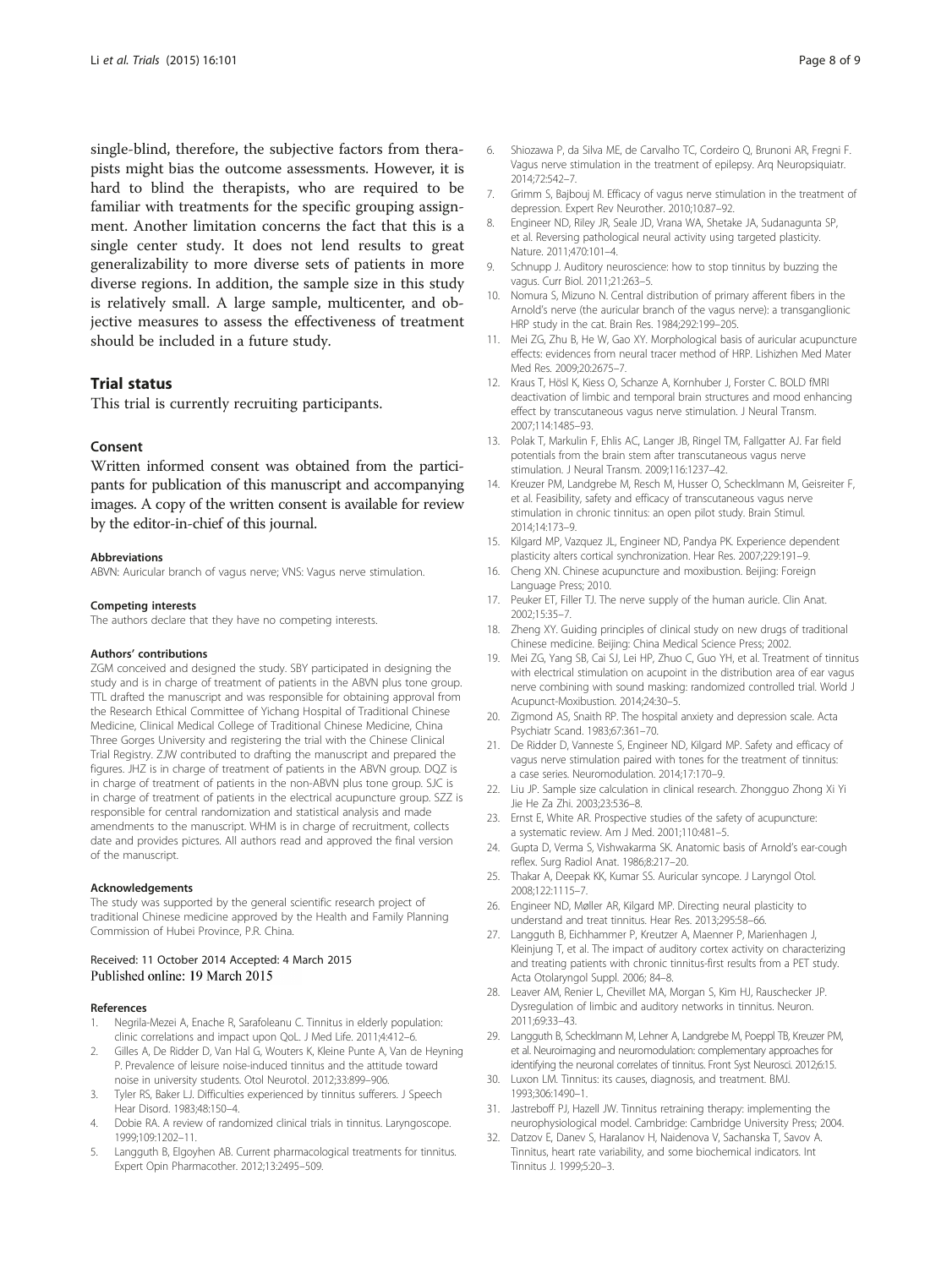<span id="page-7-0"></span>single-blind, therefore, the subjective factors from therapists might bias the outcome assessments. However, it is hard to blind the therapists, who are required to be familiar with treatments for the specific grouping assignment. Another limitation concerns the fact that this is a single center study. It does not lend results to great generalizability to more diverse sets of patients in more diverse regions. In addition, the sample size in this study is relatively small. A large sample, multicenter, and objective measures to assess the effectiveness of treatment should be included in a future study.

## Trial status

This trial is currently recruiting participants.

#### Consent

Written informed consent was obtained from the participants for publication of this manuscript and accompanying images. A copy of the written consent is available for review by the editor-in-chief of this journal.

#### Abbreviations

ABVN: Auricular branch of vagus nerve; VNS: Vagus nerve stimulation.

#### Competing interests

The authors declare that they have no competing interests.

#### Authors' contributions

ZGM conceived and designed the study. SBY participated in designing the study and is in charge of treatment of patients in the ABVN plus tone group. TTL drafted the manuscript and was responsible for obtaining approval from the Research Ethical Committee of Yichang Hospital of Traditional Chinese Medicine, Clinical Medical College of Traditional Chinese Medicine, China Three Gorges University and registering the trial with the Chinese Clinical Trial Registry. ZJW contributed to drafting the manuscript and prepared the figures. JHZ is in charge of treatment of patients in the ABVN group. DQZ is in charge of treatment of patients in the non-ABVN plus tone group. SJC is in charge of treatment of patients in the electrical acupuncture group. SZZ is responsible for central randomization and statistical analysis and made amendments to the manuscript. WHM is in charge of recruitment, collects date and provides pictures. All authors read and approved the final version of the manuscript.

#### Acknowledgements

The study was supported by the general scientific research project of traditional Chinese medicine approved by the Health and Family Planning Commission of Hubei Province, P.R. China.

#### Received: 11 October 2014 Accepted: 4 March 2015 Published online: 19 March 2015

#### References

- 1. Negrila-Mezei A, Enache R, Sarafoleanu C. Tinnitus in elderly population: clinic correlations and impact upon QoL. J Med Life. 2011;4:412–6.
- 2. Gilles A, De Ridder D, Van Hal G, Wouters K, Kleine Punte A, Van de Heyning P. Prevalence of leisure noise-induced tinnitus and the attitude toward noise in university students. Otol Neurotol. 2012;33:899–906.
- Tyler RS, Baker LJ. Difficulties experienced by tinnitus sufferers. J Speech Hear Disord. 1983;48:150–4.
- Dobie RA. A review of randomized clinical trials in tinnitus. Laryngoscope. 1999;109:1202–11.
- 5. Langguth B, Elgoyhen AB. Current pharmacological treatments for tinnitus. Expert Opin Pharmacother. 2012;13:2495–509.
- 6. Shiozawa P, da Silva ME, de Carvalho TC, Cordeiro Q, Brunoni AR, Fregni F. Vagus nerve stimulation in the treatment of epilepsy. Arq Neuropsiquiatr. 2014;72:542–7.
- 7. Grimm S, Bajbouj M. Efficacy of vagus nerve stimulation in the treatment of depression. Expert Rev Neurother. 2010;10:87–92.
- 8. Engineer ND, Riley JR, Seale JD, Vrana WA, Shetake JA, Sudanagunta SP, et al. Reversing pathological neural activity using targeted plasticity. Nature. 2011;470:101–4.
- 9. Schnupp J. Auditory neuroscience: how to stop tinnitus by buzzing the vagus. Curr Biol. 2011;21:263–5.
- 10. Nomura S, Mizuno N. Central distribution of primary afferent fibers in the Arnold's nerve (the auricular branch of the vagus nerve): a transganglionic HRP study in the cat. Brain Res. 1984;292:199–205.
- 11. Mei ZG, Zhu B, He W, Gao XY. Morphological basis of auricular acupuncture effects: evidences from neural tracer method of HRP. Lishizhen Med Mater Med Res. 2009;20:2675–7.
- 12. Kraus T, Hösl K, Kiess O, Schanze A, Kornhuber J, Forster C. BOLD fMRI deactivation of limbic and temporal brain structures and mood enhancing effect by transcutaneous vagus nerve stimulation. J Neural Transm. 2007;114:1485–93.
- 13. Polak T, Markulin F, Ehlis AC, Langer JB, Ringel TM, Fallgatter AJ. Far field potentials from the brain stem after transcutaneous vagus nerve stimulation. J Neural Transm. 2009;116:1237–42.
- 14. Kreuzer PM, Landgrebe M, Resch M, Husser O, Schecklmann M, Geisreiter F, et al. Feasibility, safety and efficacy of transcutaneous vagus nerve stimulation in chronic tinnitus: an open pilot study. Brain Stimul. 2014;14:173–9.
- 15. Kilgard MP, Vazquez JL, Engineer ND, Pandya PK. Experience dependent plasticity alters cortical synchronization. Hear Res. 2007;229:191–9.
- 16. Cheng XN. Chinese acupuncture and moxibustion. Beijing: Foreign Language Press; 2010.
- 17. Peuker ET, Filler TJ. The nerve supply of the human auricle. Clin Anat. 2002;15:35–7.
- 18. Zheng XY. Guiding principles of clinical study on new drugs of traditional Chinese medicine. Beijing: China Medical Science Press; 2002.
- 19. Mei ZG, Yang SB, Cai SJ, Lei HP, Zhuo C, Guo YH, et al. Treatment of tinnitus with electrical stimulation on acupoint in the distribution area of ear vagus nerve combining with sound masking: randomized controlled trial. World J Acupunct-Moxibustion. 2014;24:30–5.
- 20. Zigmond AS, Snaith RP. The hospital anxiety and depression scale. Acta Psychiatr Scand. 1983;67:361–70.
- 21. De Ridder D, Vanneste S, Engineer ND, Kilgard MP. Safety and efficacy of vagus nerve stimulation paired with tones for the treatment of tinnitus: a case series. Neuromodulation. 2014;17:170–9.
- 22. Liu JP. Sample size calculation in clinical research. Zhongguo Zhong Xi Yi Jie He Za Zhi. 2003;23:536–8.
- 23. Ernst E, White AR. Prospective studies of the safety of acupuncture: a systematic review. Am J Med. 2001;110:481–5.
- 24. Gupta D, Verma S, Vishwakarma SK. Anatomic basis of Arnold's ear-cough reflex. Surg Radiol Anat. 1986;8:217–20.
- 25. Thakar A, Deepak KK, Kumar SS. Auricular syncope. J Laryngol Otol. 2008;122:1115–7.
- 26. Engineer ND, Møller AR, Kilgard MP. Directing neural plasticity to understand and treat tinnitus. Hear Res. 2013;295:58–66.
- 27. Langguth B, Eichhammer P, Kreutzer A, Maenner P, Marienhagen J, Kleinjung T, et al. The impact of auditory cortex activity on characterizing and treating patients with chronic tinnitus-first results from a PET study. Acta Otolaryngol Suppl. 2006; 84–8.
- 28. Leaver AM, Renier L, Chevillet MA, Morgan S, Kim HJ, Rauschecker JP. Dysregulation of limbic and auditory networks in tinnitus. Neuron. 2011;69:33–43.
- 29. Langguth B, Schecklmann M, Lehner A, Landgrebe M, Poeppl TB, Kreuzer PM, et al. Neuroimaging and neuromodulation: complementary approaches for identifying the neuronal correlates of tinnitus. Front Syst Neurosci. 2012;6:15.
- 30. Luxon LM. Tinnitus: its causes, diagnosis, and treatment. BMJ. 1993;306:1490–1.
- 31. Jastreboff PJ, Hazell JW. Tinnitus retraining therapy: implementing the neurophysiological model. Cambridge: Cambridge University Press; 2004.
- 32. Datzov E, Danev S, Haralanov H, Naidenova V, Sachanska T, Savov A. Tinnitus, heart rate variability, and some biochemical indicators. Int Tinnitus J. 1999;5:20–3.